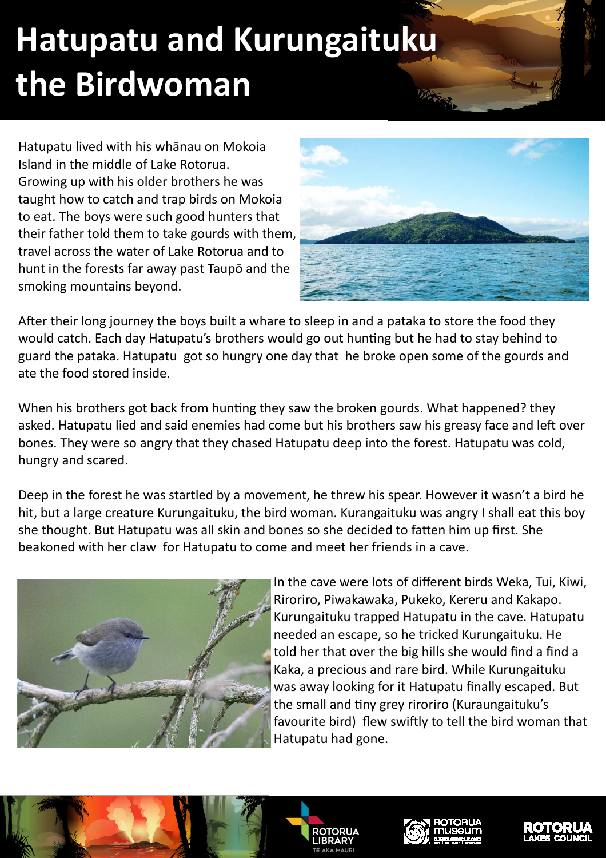## **Hatupatu and Kurungaituku the Birdwoman**

Hatupatu lived with his whānau on Mokoia Island in the middle of Lake Rotorua. Growing up with his older brothers he was taught how to catch and trap birds on Mokoia to eat. The boys were such good hunters that their father told them to take gourds with them, travel across the water of Lake Rotorua and to hunt in the forests far away past Taupō and the smoking mountains beyond.



After their long journey the boys built a whare to sleep in and a pataka to store the food they would catch. Each day Hatupatu's brothers would go out hunting but he had to stay behind to guard the pataka. Hatupatu got so hungry one day that he broke open some of the gourds and ate the food stored inside.

When his brothers got back from hunting they saw the broken gourds. What happened? they asked. Hatupatu lied and said enemies had come but his brothers saw his greasy face and left over bones. They were so angry that they chased Hatupatu deep into the forest. Hatupatu was cold, hungry and scared.

Deep in the forest he was startled by a movement, he threw his spear. However it wasn't a bird he hit, but a large creature Kurungaituku, the bird woman. Kurangaituku was angry I shall eat this boy she thought. But Hatupatu was all skin and bones so she decided to fatten him up first. She beakoned with her claw for Hatupatu to come and meet her friends in a cave.



In the cave were lots of different birds Weka, Tui, Kiwi, Riroriro, Piwakawaka, Pukeko, Kereru and Kakapo. Kurungaituku trapped Hatupatu in the cave. Hatupatu needed an escape, so he tricked Kurungaituku. He told her that over the big hills she would find a find a Kaka, a precious and rare bird. While Kurungaituku was away looking for it Hatupatu finally escaped. But the small and tiny grey riroriro (Kuraungaituku's favourite bird) flew swiftly to tell the bird woman that Hatupatu had gone.